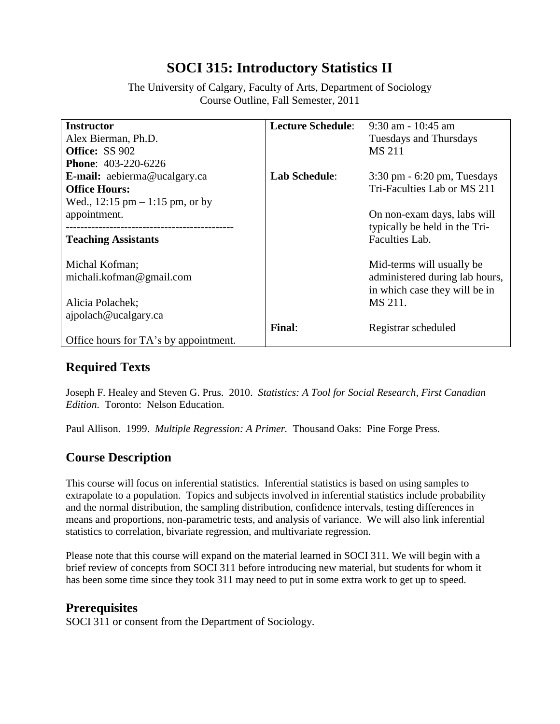# **SOCI 315: Introductory Statistics II**

The University of Calgary, Faculty of Arts, Department of Sociology Course Outline, Fall Semester, 2011

| <b>Instructor</b>                                  | <b>Lecture Schedule:</b> | $9:30$ am - 10:45 am                           |
|----------------------------------------------------|--------------------------|------------------------------------------------|
| Alex Bierman, Ph.D.                                |                          | <b>Tuesdays and Thursdays</b>                  |
| <b>Office: SS 902</b>                              |                          | <b>MS 211</b>                                  |
| <b>Phone: 403-220-6226</b>                         |                          |                                                |
| <b>E-mail:</b> aebierma@ucalgary.ca                | <b>Lab Schedule:</b>     | $3:30 \text{ pm} - 6:20 \text{ pm}$ , Tuesdays |
| <b>Office Hours:</b>                               |                          | Tri-Faculties Lab or MS 211                    |
| Wed., $12:15 \text{ pm} - 1:15 \text{ pm}$ , or by |                          |                                                |
| appointment.                                       |                          | On non-exam days, labs will                    |
| ---------------------------------                  |                          | typically be held in the Tri-                  |
| <b>Teaching Assistants</b>                         |                          | Faculties Lab.                                 |
|                                                    |                          |                                                |
| Michal Kofman;                                     |                          | Mid-terms will usually be                      |
| michali.kofman@gmail.com                           |                          | administered during lab hours,                 |
|                                                    |                          | in which case they will be in                  |
| Alicia Polachek;                                   |                          | MS 211.                                        |
| ajpolach@ucalgary.ca                               |                          |                                                |
|                                                    | Final:                   | Registrar scheduled                            |
| Office hours for TA's by appointment.              |                          |                                                |

# **Required Texts**

Joseph F. Healey and Steven G. Prus. 2010. *Statistics: A Tool for Social Research, First Canadian Edition*. Toronto: Nelson Education.

Paul Allison. 1999. *Multiple Regression: A Primer.* Thousand Oaks: Pine Forge Press.

# **Course Description**

This course will focus on inferential statistics. Inferential statistics is based on using samples to extrapolate to a population. Topics and subjects involved in inferential statistics include probability and the normal distribution, the sampling distribution, confidence intervals, testing differences in means and proportions, non-parametric tests, and analysis of variance. We will also link inferential statistics to correlation, bivariate regression, and multivariate regression.

Please note that this course will expand on the material learned in SOCI 311. We will begin with a brief review of concepts from SOCI 311 before introducing new material, but students for whom it has been some time since they took 311 may need to put in some extra work to get up to speed.

### **Prerequisites**

SOCI 311 or consent from the Department of Sociology.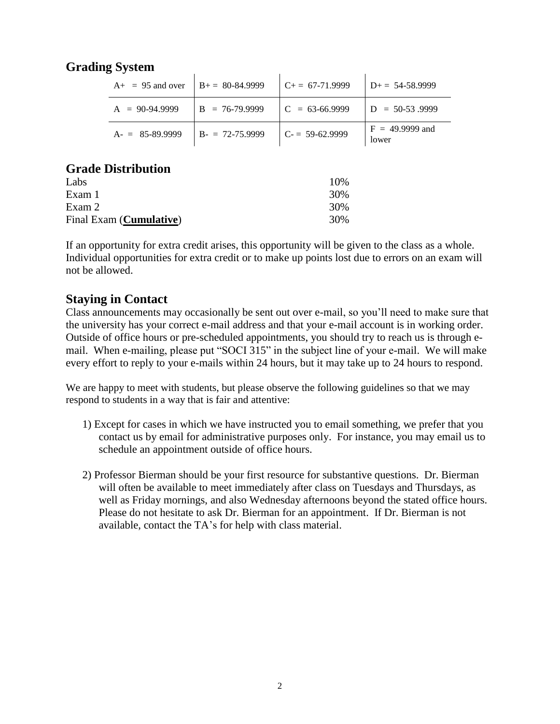# **Grading System**

| $A_{+}$ = 95 and over | $B_{+} = 80 - 84.9999$ | $C_{+} = 67-71.9999$ | $D_{+} = 54 - 58.9999$     |
|-----------------------|------------------------|----------------------|----------------------------|
| $A = 90-94.9999$      | $B = 76-79.9999$       | $C = 63-66.9999$     | $D = 50-53.9999$           |
| $A = 85-89.9999$      | $B - 72 - 75.9999$     | $C = 59-62.9999$     | $F = 49.9999$ and<br>lower |

#### **Grade Distribution**

| Labs                             | 10% |
|----------------------------------|-----|
| Exam 1                           | 30% |
| Exam 2                           | 30% |
| Final Exam ( <b>Cumulative</b> ) | 30% |

If an opportunity for extra credit arises, this opportunity will be given to the class as a whole. Individual opportunities for extra credit or to make up points lost due to errors on an exam will not be allowed.

### **Staying in Contact**

Class announcements may occasionally be sent out over e-mail, so you'll need to make sure that the university has your correct e-mail address and that your e-mail account is in working order. Outside of office hours or pre-scheduled appointments, you should try to reach us is through email. When e-mailing, please put "SOCI 315" in the subject line of your e-mail. We will make every effort to reply to your e-mails within 24 hours, but it may take up to 24 hours to respond.

We are happy to meet with students, but please observe the following guidelines so that we may respond to students in a way that is fair and attentive:

- 1) Except for cases in which we have instructed you to email something, we prefer that you contact us by email for administrative purposes only. For instance, you may email us to schedule an appointment outside of office hours.
- 2) Professor Bierman should be your first resource for substantive questions. Dr. Bierman will often be available to meet immediately after class on Tuesdays and Thursdays, as well as Friday mornings, and also Wednesday afternoons beyond the stated office hours. Please do not hesitate to ask Dr. Bierman for an appointment. If Dr. Bierman is not available, contact the TA's for help with class material.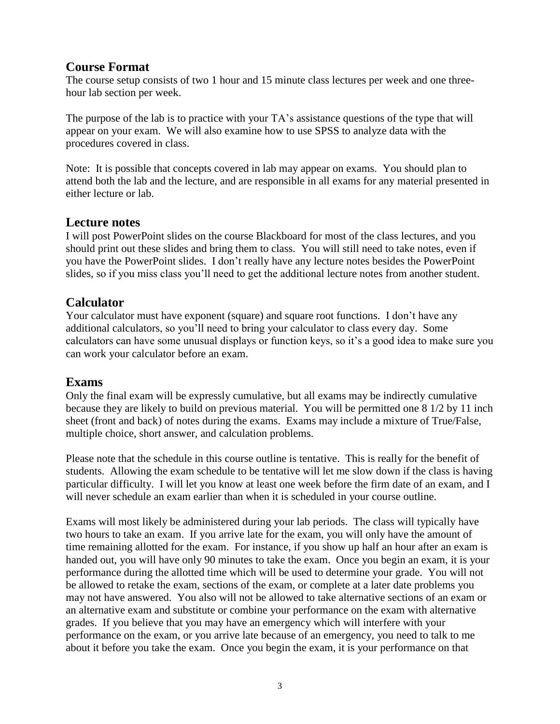### **Course Format**

The course setup consists of two 1 hour and 15 minute class lectures per week and one threehour lab section per week.

The purpose of the lab is to practice with your TA's assistance questions of the type that will appear on your exam. We will also examine how to use SPSS to analyze data with the procedures covered in class.

Note: It is possible that concepts covered in lab may appear on exams. You should plan to attend both the lab and the lecture, and are responsible in all exams for any material presented in either lecture or lab.

### **Lecture notes**

I will post PowerPoint slides on the course Blackboard for most of the class lectures, and you should print out these slides and bring them to class. You will still need to take notes, even if you have the PowerPoint slides. I don't really have any lecture notes besides the PowerPoint slides, so if you miss class you'll need to get the additional lecture notes from another student.

### **Calculator**

Your calculator must have exponent (square) and square root functions. I don't have any additional calculators, so you'll need to bring your calculator to class every day. Some calculators can have some unusual displays or function keys, so it's a good idea to make sure you can work your calculator before an exam.

### **Exams**

Only the final exam will be expressly cumulative, but all exams may be indirectly cumulative because they are likely to build on previous material. You will be permitted one 8 1/2 by 11 inch sheet (front and back) of notes during the exams. Exams may include a mixture of True/False, multiple choice, short answer, and calculation problems.

Please note that the schedule in this course outline is tentative. This is really for the benefit of students. Allowing the exam schedule to be tentative will let me slow down if the class is having particular difficulty. I will let you know at least one week before the firm date of an exam, and I will never schedule an exam earlier than when it is scheduled in your course outline.

Exams will most likely be administered during your lab periods. The class will typically have two hours to take an exam. If you arrive late for the exam, you will only have the amount of time remaining allotted for the exam. For instance, if you show up half an hour after an exam is handed out, you will have only 90 minutes to take the exam. Once you begin an exam, it is your performance during the allotted time which will be used to determine your grade. You will not be allowed to retake the exam, sections of the exam, or complete at a later date problems you may not have answered. You also will not be allowed to take alternative sections of an exam or an alternative exam and substitute or combine your performance on the exam with alternative grades. If you believe that you may have an emergency which will interfere with your performance on the exam, or you arrive late because of an emergency, you need to talk to me about it before you take the exam. Once you begin the exam, it is your performance on that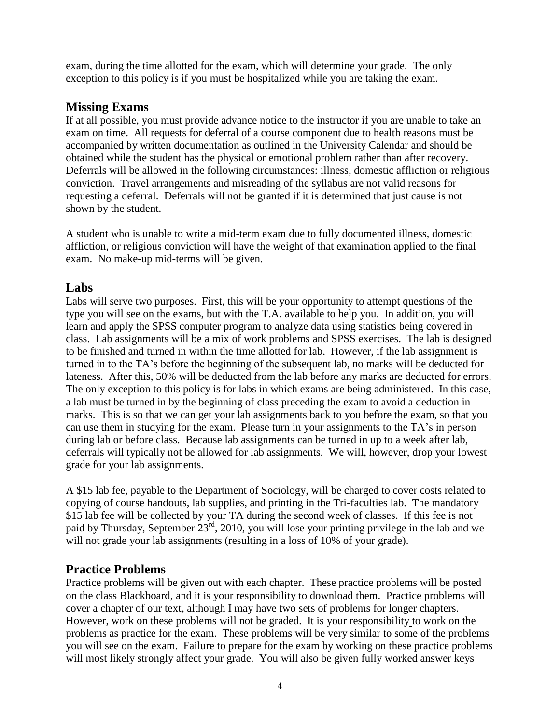exam, during the time allotted for the exam, which will determine your grade. The only exception to this policy is if you must be hospitalized while you are taking the exam.

# **Missing Exams**

If at all possible, you must provide advance notice to the instructor if you are unable to take an exam on time. All requests for deferral of a course component due to health reasons must be accompanied by written documentation as outlined in the University Calendar and should be obtained while the student has the physical or emotional problem rather than after recovery. Deferrals will be allowed in the following circumstances: illness, domestic affliction or religious conviction. Travel arrangements and misreading of the syllabus are not valid reasons for requesting a deferral. Deferrals will not be granted if it is determined that just cause is not shown by the student.

A student who is unable to write a mid-term exam due to fully documented illness, domestic affliction, or religious conviction will have the weight of that examination applied to the final exam. No make-up mid-terms will be given.

# **Labs**

Labs will serve two purposes. First, this will be your opportunity to attempt questions of the type you will see on the exams, but with the T.A. available to help you. In addition, you will learn and apply the SPSS computer program to analyze data using statistics being covered in class. Lab assignments will be a mix of work problems and SPSS exercises. The lab is designed to be finished and turned in within the time allotted for lab. However, if the lab assignment is turned in to the TA's before the beginning of the subsequent lab, no marks will be deducted for lateness. After this, 50% will be deducted from the lab before any marks are deducted for errors. The only exception to this policy is for labs in which exams are being administered. In this case, a lab must be turned in by the beginning of class preceding the exam to avoid a deduction in marks. This is so that we can get your lab assignments back to you before the exam, so that you can use them in studying for the exam. Please turn in your assignments to the TA's in person during lab or before class. Because lab assignments can be turned in up to a week after lab, deferrals will typically not be allowed for lab assignments. We will, however, drop your lowest grade for your lab assignments.

A \$15 lab fee, payable to the Department of Sociology, will be charged to cover costs related to copying of course handouts, lab supplies, and printing in the Tri-faculties lab. The mandatory \$15 lab fee will be collected by your TA during the second week of classes. If this fee is not paid by Thursday, September 23rd, 2010, you will lose your printing privilege in the lab and we will not grade your lab assignments (resulting in a loss of 10% of your grade).

# **Practice Problems**

Practice problems will be given out with each chapter. These practice problems will be posted on the class Blackboard, and it is your responsibility to download them. Practice problems will cover a chapter of our text, although I may have two sets of problems for longer chapters. However, work on these problems will not be graded. It is your responsibility to work on the problems as practice for the exam. These problems will be very similar to some of the problems you will see on the exam. Failure to prepare for the exam by working on these practice problems will most likely strongly affect your grade. You will also be given fully worked answer keys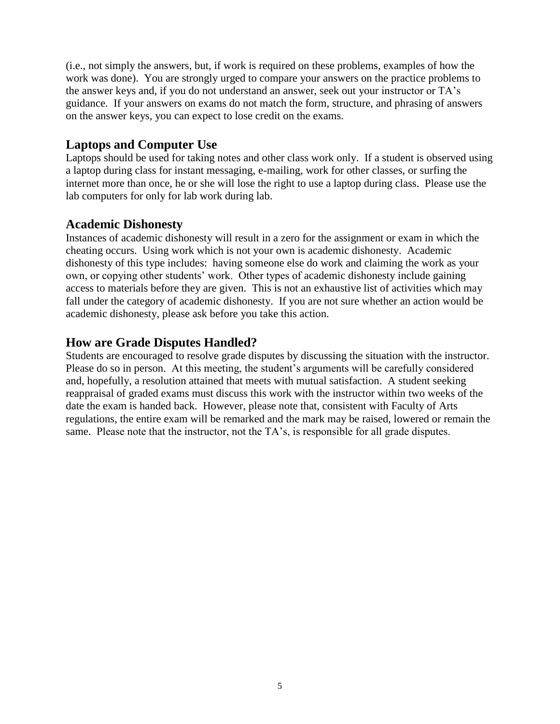(i.e., not simply the answers, but, if work is required on these problems, examples of how the work was done). You are strongly urged to compare your answers on the practice problems to the answer keys and, if you do not understand an answer, seek out your instructor or TA's guidance. If your answers on exams do not match the form, structure, and phrasing of answers on the answer keys, you can expect to lose credit on the exams.

## **Laptops and Computer Use**

Laptops should be used for taking notes and other class work only. If a student is observed using a laptop during class for instant messaging, e-mailing, work for other classes, or surfing the internet more than once, he or she will lose the right to use a laptop during class. Please use the lab computers for only for lab work during lab.

### **Academic Dishonesty**

Instances of academic dishonesty will result in a zero for the assignment or exam in which the cheating occurs. Using work which is not your own is academic dishonesty. Academic dishonesty of this type includes: having someone else do work and claiming the work as your own, or copying other students' work. Other types of academic dishonesty include gaining access to materials before they are given. This is not an exhaustive list of activities which may fall under the category of academic dishonesty. If you are not sure whether an action would be academic dishonesty, please ask before you take this action.

# **How are Grade Disputes Handled?**

Students are encouraged to resolve grade disputes by discussing the situation with the instructor. Please do so in person. At this meeting, the student's arguments will be carefully considered and, hopefully, a resolution attained that meets with mutual satisfaction. A student seeking reappraisal of graded exams must discuss this work with the instructor within two weeks of the date the exam is handed back. However, please note that, consistent with Faculty of Arts regulations, the entire exam will be remarked and the mark may be raised, lowered or remain the same. Please note that the instructor, not the TA's, is responsible for all grade disputes.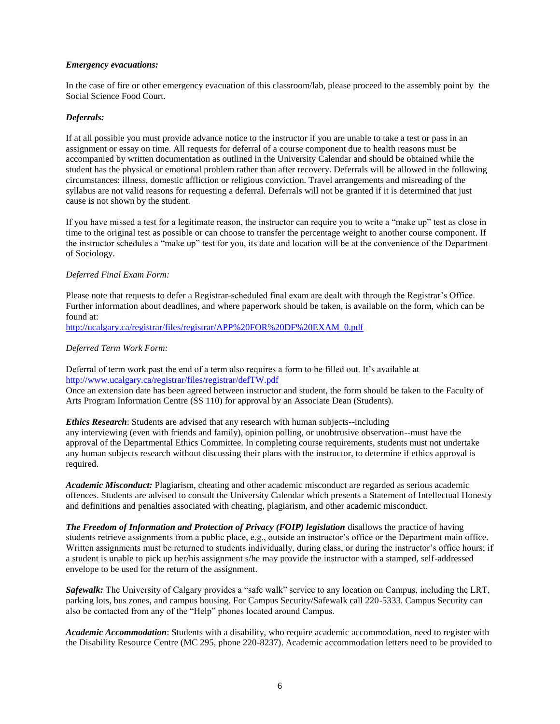#### *Emergency evacuations:*

In the case of fire or other emergency evacuation of this classroom/lab, please proceed to the assembly point by the Social Science Food Court.

#### *Deferrals:*

If at all possible you must provide advance notice to the instructor if you are unable to take a test or pass in an assignment or essay on time. All requests for deferral of a course component due to health reasons must be accompanied by written documentation as outlined in the University Calendar and should be obtained while the student has the physical or emotional problem rather than after recovery. Deferrals will be allowed in the following circumstances: illness, domestic affliction or religious conviction. Travel arrangements and misreading of the syllabus are not valid reasons for requesting a deferral. Deferrals will not be granted if it is determined that just cause is not shown by the student.

If you have missed a test for a legitimate reason, the instructor can require you to write a "make up" test as close in time to the original test as possible or can choose to transfer the percentage weight to another course component. If the instructor schedules a "make up" test for you, its date and location will be at the convenience of the Department of Sociology.

#### *Deferred Final Exam Form:*

Please note that requests to defer a Registrar-scheduled final exam are dealt with through the Registrar's Office. Further information about deadlines, and where paperwork should be taken, is available on the form, which can be found at:

[http://ucalgary.ca/registrar/files/registrar/APP%20FOR%20DF%20EXAM\\_0.pdf](http://ucalgary.ca/registrar/files/registrar/APP%20FOR%20DF%20EXAM_0.pdf)

#### *Deferred Term Work Form:*

Deferral of term work past the end of a term also requires a form to be filled out. It's available at <http://www.ucalgary.ca/registrar/files/registrar/defTW.pdf>

Once an extension date has been agreed between instructor and student, the form should be taken to the Faculty of Arts Program Information Centre (SS 110) for approval by an Associate Dean (Students).

*Ethics Research*: Students are advised that any research with human subjects--including any interviewing (even with friends and family), opinion polling, or unobtrusive observation--must have the approval of the Departmental Ethics Committee. In completing course requirements, students must not undertake any human subjects research without discussing their plans with the instructor, to determine if ethics approval is required.

*Academic Misconduct:* Plagiarism, cheating and other academic misconduct are regarded as serious academic offences. Students are advised to consult the University Calendar which presents a Statement of Intellectual Honesty and definitions and penalties associated with cheating, plagiarism, and other academic misconduct.

*The Freedom of Information and Protection of Privacy (FOIP) legislation* disallows the practice of having students retrieve assignments from a public place, e.g., outside an instructor's office or the Department main office. Written assignments must be returned to students individually, during class, or during the instructor's office hours; if a student is unable to pick up her/his assignment s/he may provide the instructor with a stamped, self-addressed envelope to be used for the return of the assignment.

*Safewalk:* The University of Calgary provides a "safe walk" service to any location on Campus, including the LRT, parking lots, bus zones, and campus housing. For Campus Security/Safewalk call 220-5333. Campus Security can also be contacted from any of the "Help" phones located around Campus.

*Academic Accommodation*: Students with a disability, who require academic accommodation, need to register with the Disability Resource Centre (MC 295, phone 220-8237). Academic accommodation letters need to be provided to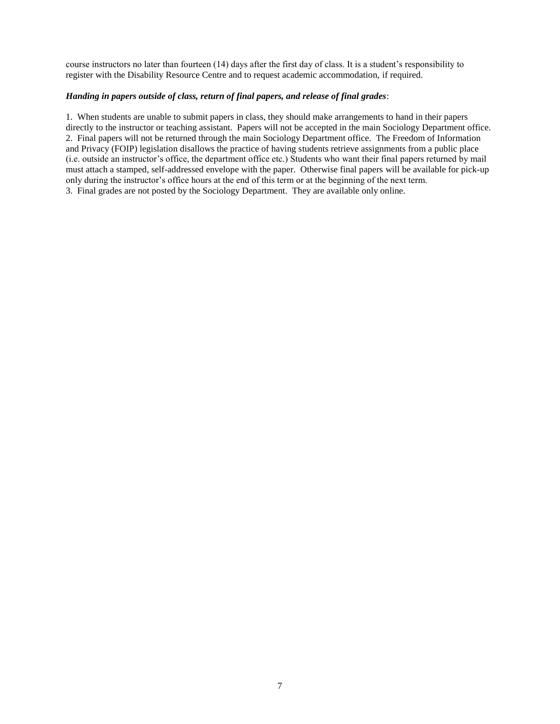course instructors no later than fourteen (14) days after the first day of class. It is a student's responsibility to register with the Disability Resource Centre and to request academic accommodation, if required.

#### *Handing in papers outside of class, return of final papers, and release of final grades*:

1. When students are unable to submit papers in class, they should make arrangements to hand in their papers directly to the instructor or teaching assistant. Papers will not be accepted in the main Sociology Department office. 2. Final papers will not be returned through the main Sociology Department office. The Freedom of Information and Privacy (FOIP) legislation disallows the practice of having students retrieve assignments from a public place (i.e. outside an instructor's office, the department office etc.) Students who want their final papers returned by mail must attach a stamped, self-addressed envelope with the paper. Otherwise final papers will be available for pick-up only during the instructor's office hours at the end of this term or at the beginning of the next term. 3. Final grades are not posted by the Sociology Department. They are available only online.